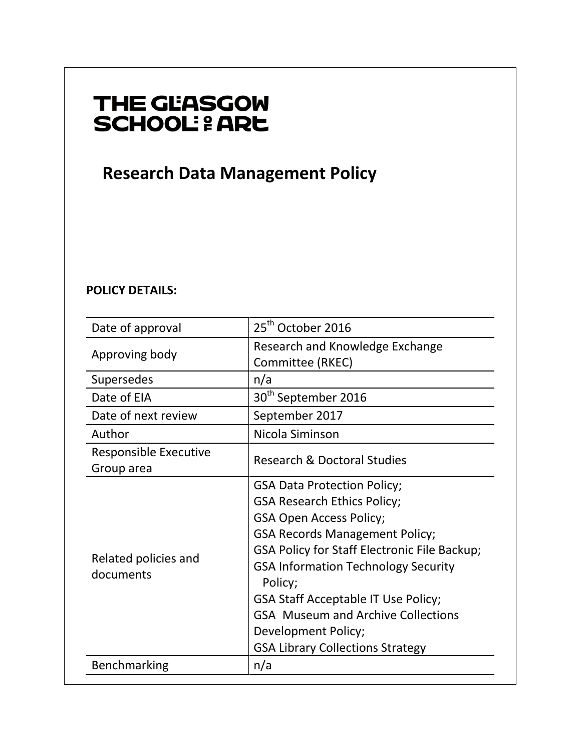# THE GLASGOW **SCHOOL: & ARE**

 **Research Data Management Policy** 

# **POLICY DETAILS:**

| Date of approval                           | 25 <sup>th</sup> October 2016                                                                                                                                                                                                                                                                                                                                                                                             |
|--------------------------------------------|---------------------------------------------------------------------------------------------------------------------------------------------------------------------------------------------------------------------------------------------------------------------------------------------------------------------------------------------------------------------------------------------------------------------------|
| Approving body                             | Research and Knowledge Exchange<br>Committee (RKEC)                                                                                                                                                                                                                                                                                                                                                                       |
| Supersedes                                 | n/a                                                                                                                                                                                                                                                                                                                                                                                                                       |
| Date of EIA                                | 30 <sup>th</sup> September 2016                                                                                                                                                                                                                                                                                                                                                                                           |
| Date of next review                        | September 2017                                                                                                                                                                                                                                                                                                                                                                                                            |
| Author                                     | Nicola Siminson                                                                                                                                                                                                                                                                                                                                                                                                           |
| <b>Responsible Executive</b><br>Group area | <b>Research &amp; Doctoral Studies</b>                                                                                                                                                                                                                                                                                                                                                                                    |
| Related policies and<br>documents          | <b>GSA Data Protection Policy;</b><br><b>GSA Research Ethics Policy;</b><br><b>GSA Open Access Policy;</b><br><b>GSA Records Management Policy;</b><br>GSA Policy for Staff Electronic File Backup;<br><b>GSA Information Technology Security</b><br>Policy;<br><b>GSA Staff Acceptable IT Use Policy;</b><br><b>GSA</b> Museum and Archive Collections<br>Development Policy;<br><b>GSA Library Collections Strategy</b> |
| Benchmarking                               | n/a                                                                                                                                                                                                                                                                                                                                                                                                                       |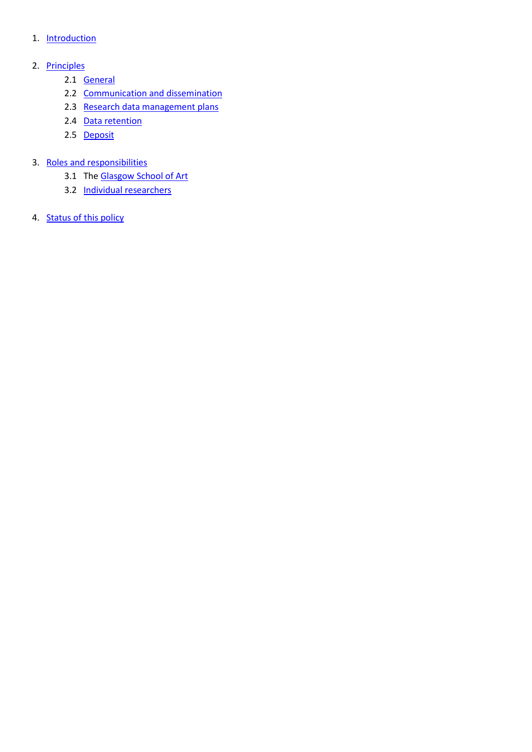#### 1. [Introduction](#page-2-0)

# 2. [Principles](#page-2-1)

- 2.1 [General](#page-2-2)
- 2.2 [Communication and dissemination](#page-2-3)
- 2.3 [Research data management plans](#page-3-0)
- 2.4 [Data retention](#page-3-1)
- 2.5 [Deposit](#page-3-2)

# 3. [Roles and responsibilities](#page-3-3)

- 3.1 Th[e Glasgow School of Art](#page-3-4)
- 3.2 [Individual researchers](#page-4-0)
- 4. **[Status of this policy](#page-4-1)**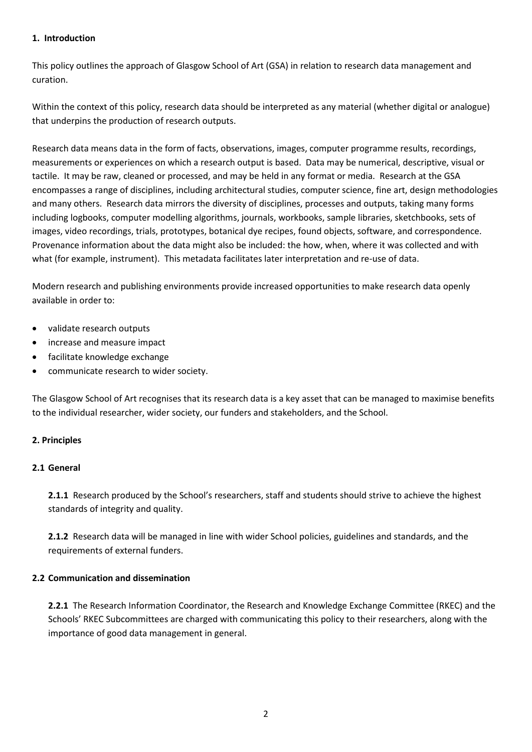#### <span id="page-2-0"></span>**1. Introduction**

This policy outlines the approach of Glasgow School of Art (GSA) in relation to research data management and curation.

Within the context of this policy, research data should be interpreted as any material (whether digital or analogue) that underpins the production of research outputs.

Research data means data in the form of facts, observations, images, computer programme results, recordings, measurements or experiences on which a research output is based. Data may be numerical, descriptive, visual or tactile. It may be raw, cleaned or processed, and may be held in any format or media. Research at the GSA encompasses a range of disciplines, including architectural studies, computer science, fine art, design methodologies and many others. Research data mirrors the diversity of disciplines, processes and outputs, taking many forms including logbooks, computer modelling algorithms, journals, workbooks, sample libraries, sketchbooks, sets of images, video recordings, trials, prototypes, botanical dye recipes, found objects, software, and correspondence. Provenance information about the data might also be included: the how, when, where it was collected and with what (for example, instrument). This metadata facilitates later interpretation and re-use of data.

Modern research and publishing environments provide increased opportunities to make research data openly available in order to:

- validate research outputs
- increase and measure impact
- facilitate knowledge exchange
- communicate research to wider society.

The Glasgow School of Art recognises that its research data is a key asset that can be managed to maximise benefits to the individual researcher, wider society, our funders and stakeholders, and the School.

# <span id="page-2-1"></span>**2. Principles**

#### <span id="page-2-2"></span>**2.1 General**

**2.1.1** Research produced by the School's researchers, staff and students should strive to achieve the highest standards of integrity and quality.

**2.1.2** Research data will be managed in line with wider School policies, guidelines and standards, and the requirements of external funders.

# <span id="page-2-3"></span>**2.2 Communication and dissemination**

**2.2.1** The Research Information Coordinator, the Research and Knowledge Exchange Committee (RKEC) and the Schools' RKEC Subcommittees are charged with communicating this policy to their researchers, along with the importance of good data management in general.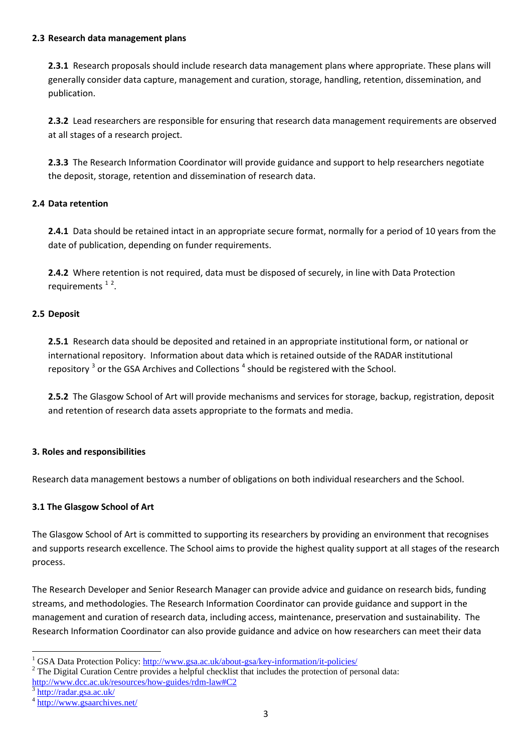#### <span id="page-3-0"></span>**2.3 Research data management plans**

**2.3.1** Research proposals should include research data management plans where appropriate. These plans will generally consider data capture, management and curation, storage, handling, retention, dissemination, and publication.

**2.3.2** Lead researchers are responsible for ensuring that research data management requirements are observed at all stages of a research project.

**2.3.3** The Research Information Coordinator will provide guidance and support to help researchers negotiate the deposit, storage, retention and dissemination of research data.

# <span id="page-3-1"></span>**2.4 Data retention**

**2.4.1** Data should be retained intact in an appropriate secure format, normally for a period of 10 years from the date of publication, depending on funder requirements.

**2.4.2** Where retention is not required, data must be disposed of securely, in line with Data Protection requirements<sup>[1](#page-3-5)[2](#page-3-6)</sup>.

#### <span id="page-3-2"></span>**2.5 Deposit**

**2.5.1** Research data should be deposited and retained in an appropriate institutional form, or national or international repository. Information about data which is retained outside of the RADAR institutional repository  $3$  or the GSA Archives and Collections  $4$  should be registered with the School.

**2.5.2** The Glasgow School of Art will provide mechanisms and services for storage, backup, registration, deposit and retention of research data assets appropriate to the formats and media.

# <span id="page-3-3"></span>**3. Roles and responsibilities**

Research data management bestows a number of obligations on both individual researchers and the School.

# <span id="page-3-4"></span>**3.1 The Glasgow School of Art**

The Glasgow School of Art is committed to supporting its researchers by providing an environment that recognises and supports research excellence. The School aims to provide the highest quality support at all stages of the research process.

The Research Developer and Senior Research Manager can provide advice and guidance on research bids, funding streams, and methodologies. The Research Information Coordinator can provide guidance and support in the management and curation of research data, including access, maintenance, preservation and sustainability. The Research Information Coordinator can also provide guidance and advice on how researchers can meet their data

<span id="page-3-6"></span>

<span id="page-3-5"></span><sup>&</sup>lt;sup>1</sup> GSA Data Protection Policy:  $\frac{http://www.gsa.ac.uk/about-gsa/key-information/it-policies/}{$ <br><sup>2</sup> The Digital Curation Centre provides a helpful checklist that includes the protection of personal data: <http://www.dcc.ac.uk/resources/how-guides/rdm-law#C2><br>3 <http://radar.gsa.ac.uk/>

<span id="page-3-7"></span>

<span id="page-3-8"></span><sup>4</sup> <http://www.gsaarchives.net/>